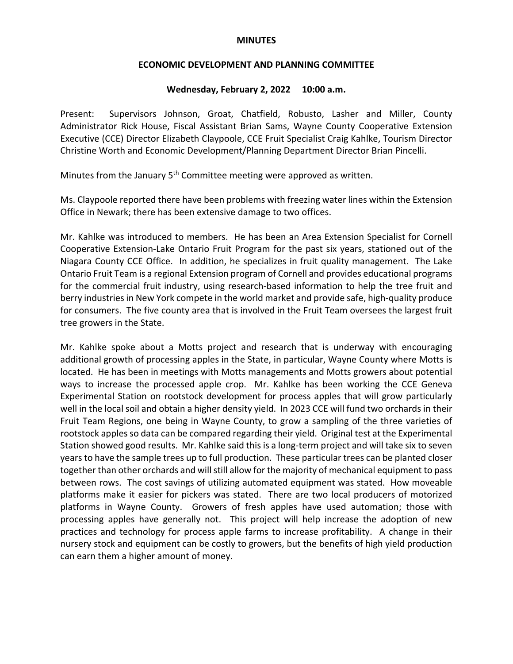#### **MINUTES**

#### **ECONOMIC DEVELOPMENT AND PLANNING COMMITTEE**

# **Wednesday, February 2, 2022 10:00 a.m.**

Present: Supervisors Johnson, Groat, Chatfield, Robusto, Lasher and Miller, County Administrator Rick House, Fiscal Assistant Brian Sams, Wayne County Cooperative Extension Executive (CCE) Director Elizabeth Claypoole, CCE Fruit Specialist Craig Kahlke, Tourism Director Christine Worth and Economic Development/Planning Department Director Brian Pincelli.

Minutes from the January 5<sup>th</sup> Committee meeting were approved as written.

Ms. Claypoole reported there have been problems with freezing water lines within the Extension Office in Newark; there has been extensive damage to two offices.

Mr. Kahlke was introduced to members. He has been an Area Extension Specialist for Cornell Cooperative Extension-Lake Ontario Fruit Program for the past six years, stationed out of the Niagara County CCE Office. In addition, he specializes in fruit quality management. The Lake Ontario Fruit Team is a regional Extension program of Cornell and provides educational programs for the commercial fruit industry, using research-based information to help the tree fruit and berry industries in New York compete in the world market and provide safe, high-quality produce for consumers. The five county area that is involved in the Fruit Team oversees the largest fruit tree growers in the State.

Mr. Kahlke spoke about a Motts project and research that is underway with encouraging additional growth of processing apples in the State, in particular, Wayne County where Motts is located. He has been in meetings with Motts managements and Motts growers about potential ways to increase the processed apple crop. Mr. Kahlke has been working the CCE Geneva Experimental Station on rootstock development for process apples that will grow particularly well in the local soil and obtain a higher density yield. In 2023 CCE will fund two orchards in their Fruit Team Regions, one being in Wayne County, to grow a sampling of the three varieties of rootstock apples so data can be compared regarding their yield. Original test at the Experimental Station showed good results. Mr. Kahlke said this is a long-term project and will take six to seven years to have the sample trees up to full production. These particular trees can be planted closer together than other orchards and will still allow for the majority of mechanical equipment to pass between rows. The cost savings of utilizing automated equipment was stated. How moveable platforms make it easier for pickers was stated. There are two local producers of motorized platforms in Wayne County. Growers of fresh apples have used automation; those with processing apples have generally not. This project will help increase the adoption of new practices and technology for process apple farms to increase profitability. A change in their nursery stock and equipment can be costly to growers, but the benefits of high yield production can earn them a higher amount of money.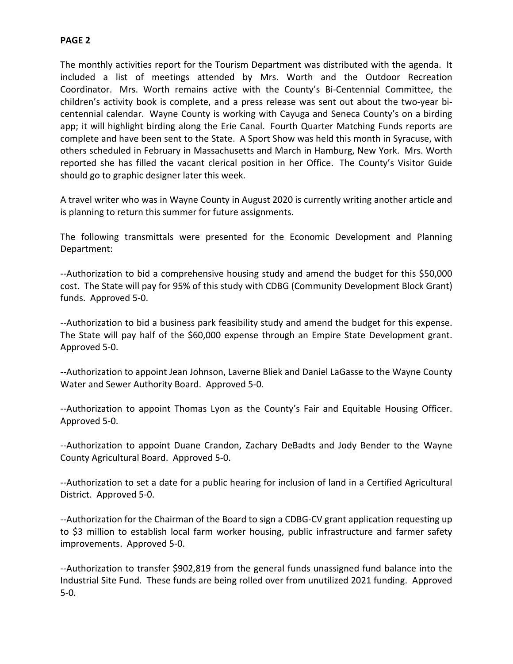# **PAGE 2**

The monthly activities report for the Tourism Department was distributed with the agenda. It included a list of meetings attended by Mrs. Worth and the Outdoor Recreation Coordinator. Mrs. Worth remains active with the County's Bi-Centennial Committee, the children's activity book is complete, and a press release was sent out about the two-year bicentennial calendar. Wayne County is working with Cayuga and Seneca County's on a birding app; it will highlight birding along the Erie Canal. Fourth Quarter Matching Funds reports are complete and have been sent to the State. A Sport Show was held this month in Syracuse, with others scheduled in February in Massachusetts and March in Hamburg, New York. Mrs. Worth reported she has filled the vacant clerical position in her Office. The County's Visitor Guide should go to graphic designer later this week.

A travel writer who was in Wayne County in August 2020 is currently writing another article and is planning to return this summer for future assignments.

The following transmittals were presented for the Economic Development and Planning Department:

--Authorization to bid a comprehensive housing study and amend the budget for this \$50,000 cost. The State will pay for 95% of this study with CDBG (Community Development Block Grant) funds. Approved 5-0.

--Authorization to bid a business park feasibility study and amend the budget for this expense. The State will pay half of the \$60,000 expense through an Empire State Development grant. Approved 5-0.

--Authorization to appoint Jean Johnson, Laverne Bliek and Daniel LaGasse to the Wayne County Water and Sewer Authority Board. Approved 5-0.

--Authorization to appoint Thomas Lyon as the County's Fair and Equitable Housing Officer. Approved 5-0.

--Authorization to appoint Duane Crandon, Zachary DeBadts and Jody Bender to the Wayne County Agricultural Board. Approved 5-0.

--Authorization to set a date for a public hearing for inclusion of land in a Certified Agricultural District. Approved 5-0.

--Authorization for the Chairman of the Board to sign a CDBG-CV grant application requesting up to \$3 million to establish local farm worker housing, public infrastructure and farmer safety improvements. Approved 5-0.

--Authorization to transfer \$902,819 from the general funds unassigned fund balance into the Industrial Site Fund. These funds are being rolled over from unutilized 2021 funding. Approved 5-0.